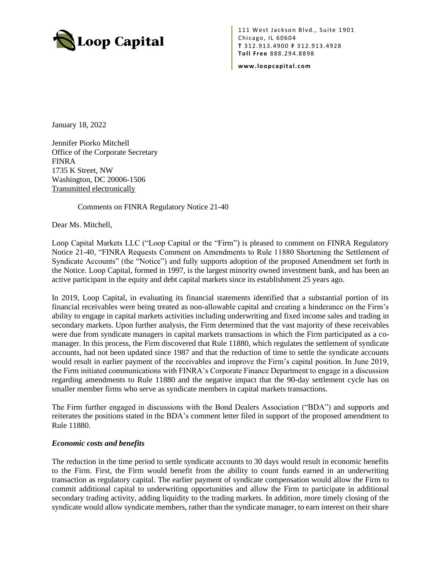

111 West Jackson Blvd., Suite 1901 Chicago, IL 60604 **T** 31 2.9 13. 490 0 **F** 3 12. 91 3. 4928 **To l l Free** 888. 29 4.88 98

**www. lo o pc ap it a l. co m**

January 18, 2022

Jennifer Piorko Mitchell Office of the Corporate Secretary FINRA 1735 K Street, NW Washington, DC 20006-1506 Transmitted electronically

Comments on FINRA Regulatory Notice 21-40

Dear Ms. Mitchell,

Loop Capital Markets LLC ("Loop Capital or the "Firm") is pleased to comment on FINRA Regulatory Notice 21-40, "FINRA Requests Comment on Amendments to Rule 11880 Shortening the Settlement of Syndicate Accounts" (the "Notice") and fully supports adoption of the proposed Amendment set forth in the Notice. Loop Capital, formed in 1997, is the largest minority owned investment bank, and has been an active participant in the equity and debt capital markets since its establishment 25 years ago.

In 2019, Loop Capital, in evaluating its financial statements identified that a substantial portion of its financial receivables were being treated as non-allowable capital and creating a hinderance on the Firm's ability to engage in capital markets activities including underwriting and fixed income sales and trading in secondary markets. Upon further analysis, the Firm determined that the vast majority of these receivables were due from syndicate managers in capital markets transactions in which the Firm participated as a comanager. In this process, the Firm discovered that Rule 11880, which regulates the settlement of syndicate accounts, had not been updated since 1987 and that the reduction of time to settle the syndicate accounts would result in earlier payment of the receivables and improve the Firm's capital position. In June 2019, the Firm initiated communications with FINRA's Corporate Finance Department to engage in a discussion regarding amendments to Rule 11880 and the negative impact that the 90-day settlement cycle has on smaller member firms who serve as syndicate members in capital markets transactions.

The Firm further engaged in discussions with the Bond Dealers Association ("BDA") and supports and reiterates the positions stated in the BDA's comment letter filed in support of the proposed amendment to Rule 11880.

## *Economic costs and benefits*

The reduction in the time period to settle syndicate accounts to 30 days would result in economic benefits to the Firm. First, the Firm would benefit from the ability to count funds earned in an underwriting transaction as regulatory capital. The earlier payment of syndicate compensation would allow the Firm to commit additional capital to underwriting opportunities and allow the Firm to participate in additional secondary trading activity, adding liquidity to the trading markets. In addition, more timely closing of the syndicate would allow syndicate members, rather than the syndicate manager, to earn interest on their share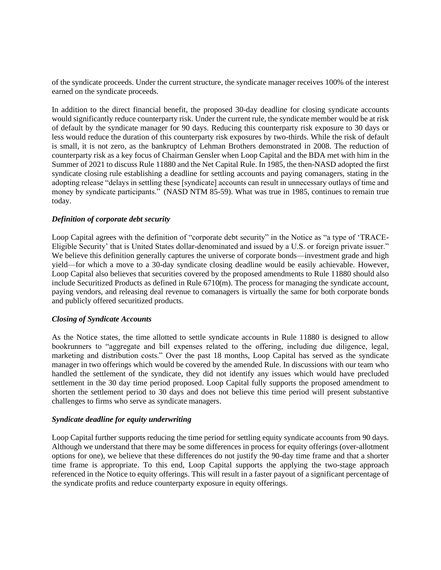of the syndicate proceeds. Under the current structure, the syndicate manager receives 100% of the interest earned on the syndicate proceeds.

In addition to the direct financial benefit, the proposed 30-day deadline for closing syndicate accounts would significantly reduce counterparty risk. Under the current rule, the syndicate member would be at risk of default by the syndicate manager for 90 days. Reducing this counterparty risk exposure to 30 days or less would reduce the duration of this counterparty risk exposures by two-thirds. While the risk of default is small, it is not zero, as the bankruptcy of Lehman Brothers demonstrated in 2008. The reduction of counterparty risk as a key focus of Chairman Gensler when Loop Capital and the BDA met with him in the Summer of 2021 to discuss Rule 11880 and the Net Capital Rule. In 1985, the then-NASD adopted the first syndicate closing rule establishing a deadline for settling accounts and paying comanagers, stating in the adopting release "delays in settling these [syndicate] accounts can result in unnecessary outlays of time and money by syndicate participants." (NASD NTM 85-59). What was true in 1985, continues to remain true today.

## *Definition of corporate debt security*

Loop Capital agrees with the definition of "corporate debt security" in the Notice as "a type of 'TRACE-Eligible Security' that is United States dollar-denominated and issued by a U.S. or foreign private issuer." We believe this definition generally captures the universe of corporate bonds—investment grade and high yield—for which a move to a 30-day syndicate closing deadline would be easily achievable. However, Loop Capital also believes that securities covered by the proposed amendments to Rule 11880 should also include Securitized Products as defined in Rule 6710(m). The process for managing the syndicate account, paying vendors, and releasing deal revenue to comanagers is virtually the same for both corporate bonds and publicly offered securitized products.

## *Closing of Syndicate Accounts*

As the Notice states, the time allotted to settle syndicate accounts in Rule 11880 is designed to allow bookrunners to "aggregate and bill expenses related to the offering, including due diligence, legal, marketing and distribution costs." Over the past 18 months, Loop Capital has served as the syndicate manager in two offerings which would be covered by the amended Rule. In discussions with our team who handled the settlement of the syndicate, they did not identify any issues which would have precluded settlement in the 30 day time period proposed. Loop Capital fully supports the proposed amendment to shorten the settlement period to 30 days and does not believe this time period will present substantive challenges to firms who serve as syndicate managers.

## *Syndicate deadline for equity underwriting*

Loop Capital further supports reducing the time period for settling equity syndicate accounts from 90 days. Although we understand that there may be some differences in process for equity offerings (over-allotment options for one), we believe that these differences do not justify the 90-day time frame and that a shorter time frame is appropriate. To this end, Loop Capital supports the applying the two-stage approach referenced in the Notice to equity offerings. This will result in a faster payout of a significant percentage of the syndicate profits and reduce counterparty exposure in equity offerings.